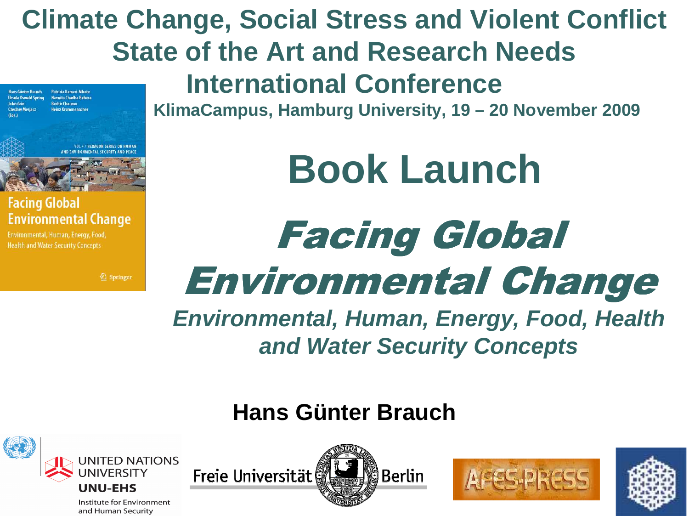### **Climate Change, Social Stress and Violent ConflictState of the Art and Research Needs**

**Hans Günter Brauch** Patricia Kameri-Mbote Navnita Chadha Behera **Traila Oswald Spring Béchir Chourou Heinz Krummenacher** 



#### **Facing Global Environmental Change**

Environmental, Human, Energy, Food, **Health and Water Security Concepts** 

2 Springer

**International Conference**

**KlimaCampus, Hamburg University, 19 – 20 November 2009**

**Book Launch**

## Facing Global Environmental Change

**Environmental, Human, Energy, Food, Health and Water Security Concepts**

**Berlin** 

### **Hans Günter Brauch**

Freie Universität



Institute for Environment and Human Security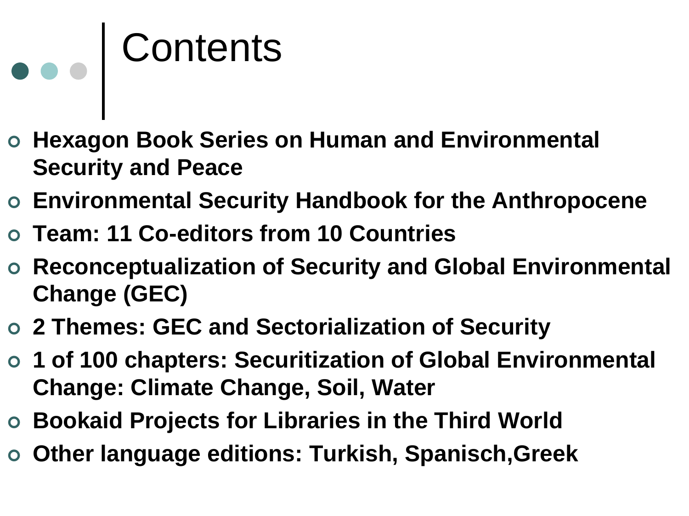# Contents

- **Hexagon Book Series on Human and Environmental Security and Peace**
- **Environmental Security Handbook for the Anthropocene**
- **Team: 11 Co-editors from 10 Countries**
- **Reconceptualization of Security and Global Environmental Change (GEC)**
- **2 Themes: GEC and Sectorialization of Security**
- **1 of 100 chapters: Securitization of Global Environmental Change: Climate Change, Soil, Water**
- **Bookaid Projects for Libraries in the Third World**
- **Other language editions: Turkish, Spanisch,Greek**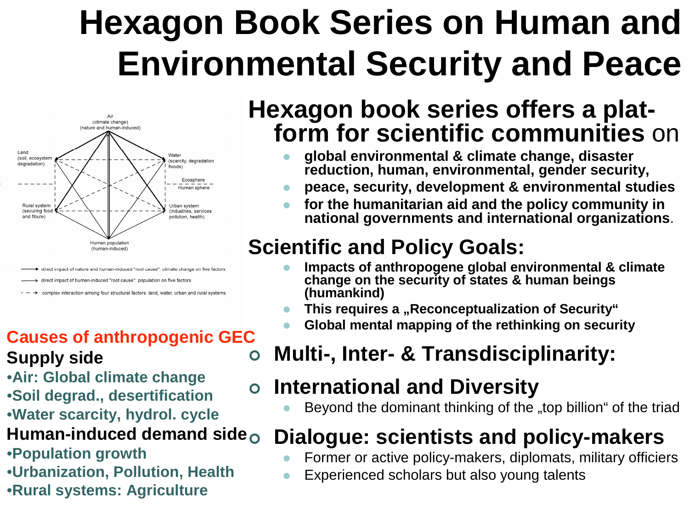## **Hexagon Book Series on Human and Environmental Security and Peace**



direct impact of nature and human-induced "root cause": climate change on five factors

- direct impact of human-induced "root cause": population on five factors
- complex interaction among four structural factors: land, water, urban and rural systems

#### $\bullet$ **Causes of anthropogenic GECSupply side**

- •**Air: Global climate change**
- •**Soil degrad., desertification**
- •**Water scarcity, hydrol. cycle**

#### **Human-induced demand side**

- •**Population growth**
- •**Urbanization, Pollution, Health**
- •**Rural systems: Agriculture**

### **Hexagon book series offers a platform for scientific communities** on

- $\bullet$  **global environmental & climate change, disaster reduction, human, environmental, gender security,**
- **peace, security, development & environmental studies** $\bullet$
- **for the humanitarian aid and the policy community in**   $\bullet$ **national governments and international organizations**.

### **Scientific and Policy Goals:**

- **Impacts of anthropogene global environmental & climate**   $\bullet$ **change on the security of states & human beings(humankind)**
- **This requires a "Reconceptualization of Security"**  $\bullet$
- $\bullet$ **Global mental mapping of the rethinking on security**

### **Multi-, Inter- & Transdisciplinarity:**

#### $\bullet$ **International and Diversity**

 $\bullet$ Beyond the dominant thinking of the "top billion" of the triad

### **Dialogue: scientists and policy-makers**

- $\bullet$ Former or active policy-makers, diplomats, military officiers
- $\bullet$ Experienced scholars but also young talents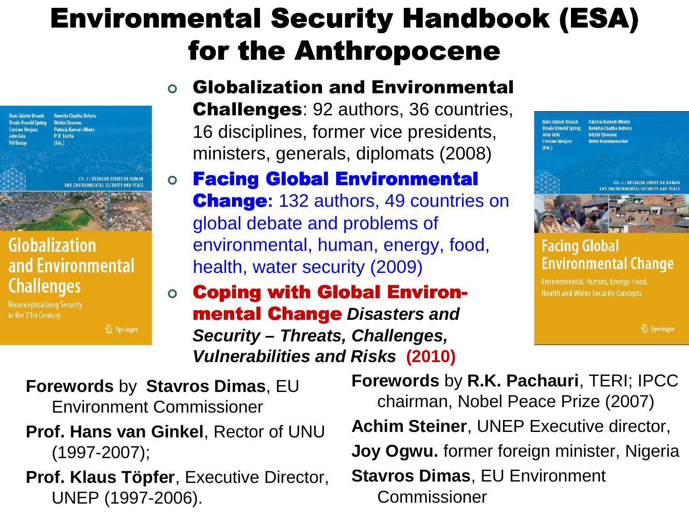### Environmental Security Handbook (ESA) for the Anthropocene



**VOL 3 / HEXAGON SERIES ON HUMAI** AND ENVIRONMENTAL SECURITY AND PEACE

#### **Globalization** and Environmental **Challenges**

**Reconceptualizing Security** in the 21st Century

<sup>2</sup> Springer

#### $\bullet$  Globalization and Environmental **Challenges: 92 authors, 36 countries,** 16 disciplines, former vice presidents, ministers, generals, diplomats (2008)

#### $\bullet$ **Facing Global Environmental** Change**:** 132 authors, 49 countries on global debate and problems of environmental, human, energy, food, health, water security (2009)

#### $\bullet$ **Coping with Global Environmental Change** Disasters and **Security – Threats, Challenges, Vulnerabilities and Risks (2010)**



#### **Facing Global Environmental Change**

Environmental, Human, Energy, Food, **Health and Water Security Concepts** 

2 Springer

**Forewords** by **Stavros Dimas**, EU Environment Commissioner

- **Prof. Hans van Ginkel**, Rector of UNU (1997-2007);
- **Prof. Klaus Töpfer**, Executive Director, UNEP (1997-2006).

**Forewords** by **R.K. Pachauri**, TERI; IPCC chairman, Nobel Peace Prize (2007)**Achim Steiner**, UNEP Executive director, **Joy Ogwu.** former foreign minister, Nigeria **Stavros Dimas**, EU Environment Commissioner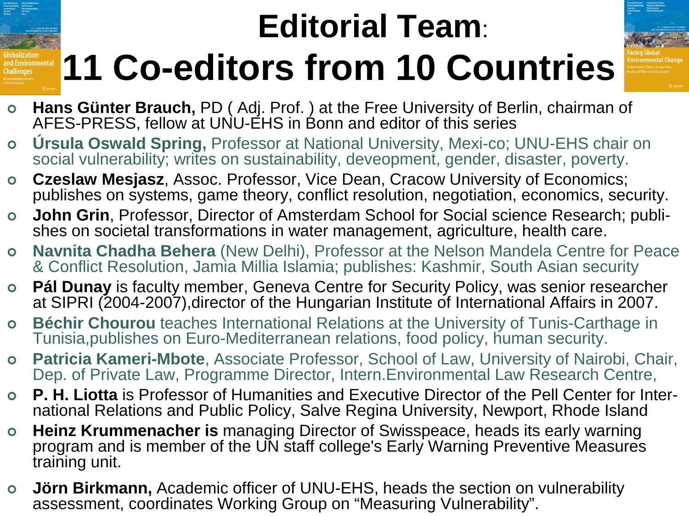# **Editorial Team**:**11 Co-editors from 10 Countries**

- 
- **Hans Günter Brauch,** PD (Adj. Prof.) at the Free University of Berlin, chairman of  $\Lambda$ FES DRESS follow at UNU FHS in Bonn and oditor of this sories AFES-PRESS, fellow at UNU-EHS in Bonn and editor of this series

I Environmental

- **Úrsula Oswald Spring,** Professor at National University, Mexi-co; UNU-EHS chair on  $\bullet$ social vulnerability; writes on sustainability, deveopment, gender, disaster, poverty.
- $\bullet$  **Czeslaw Mesjasz**, Assoc. Professor, Vice Dean, Cracow University of Economics; publishes on systems, game theory, conflict resolution, negotiation, economics, security.
- $\bullet$  **John Grin**, Professor, Director of Amsterdam School for Social science Research; publishes on societal transformations in water management, agriculture, health care.
- $\bullet$  **Navnita Chadha Behera** (New Delhi), Professor at the Nelson Mandela Centre for Peace & Conflict Resolution, Jamia Millia Islamia; publishes: Kashmir, South Asian security
- $\bullet$  **Pál Dunay** is faculty member, Geneva Centre for Security Policy, was senior researcher at SIPRI (2004-2007),director of the Hungarian Institute of International Affairs in 2007.
- $\bullet$  **Béchir Chourou** teaches International Relations at the University of Tunis-Carthage in Tunisia,publishes on Euro-Mediterranean relations, food policy, human security.
- $\bullet$  **Patricia Kameri-Mbote**, Associate Professor, School of Law, University of Nairobi, Chair, Dep. of Private Law, Programme Director, Intern.Environmental Law Research Centre,
- $\bullet$  **P. H. Liotta** is Professor of Humanities and Executive Director of the Pell Center for International Relations and Public Policy, Salve Regina University, Newport, Rhode Island
- **Heinz Krummenacher is** managing Director of Swisspeace, heads its early warning  $\bullet$ program and is member of the UN staff college's Early Warning Preventive Measures training unit.
- $\bullet$  **Jörn Birkmann,** Academic officer of UNU-EHS, heads the section on vulnerability assessment, coordinates Working Group on "Measuring Vulnerability".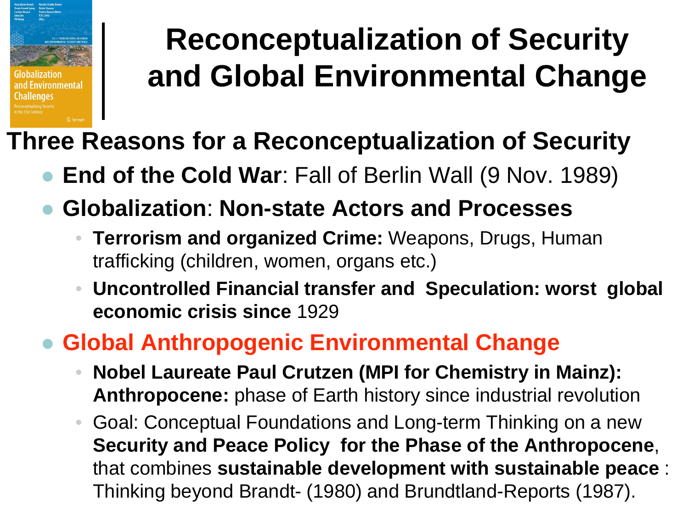

## **Reconceptualization of Securityand Global Environmental Change**

### **Three Reasons for a Reconceptualization of Security**

- $\bullet$ **End of the Cold War**: Fall of Berlin Wall (9 Nov. 1989)
- $\bullet$  **Globalization**: **Non-state Actors and Processes**
	- • **Terrorism and organized Crime:** Weapons, Drugs, Human trafficking (children, women, organs etc.)
	- • **Uncontrolled Financial transfer and Speculation: worst global economic crisis since** <sup>1929</sup>

#### $\bullet$ **Global Anthropogenic Environmental Change**

- • **Nobel Laureate Paul Crutzen (MPI for Chemistry in Mainz): Anthropocene:** phase of Earth history since industrial revolution
- • Goal: Conceptual Foundations and Long-term Thinking on a new **Security and Peace Policy for the Phase of the Anthropocene**, that combines **sustainable development with sustainable peace** : Thinking beyond Brandt- (1980) and Brundtland-Reports (1987).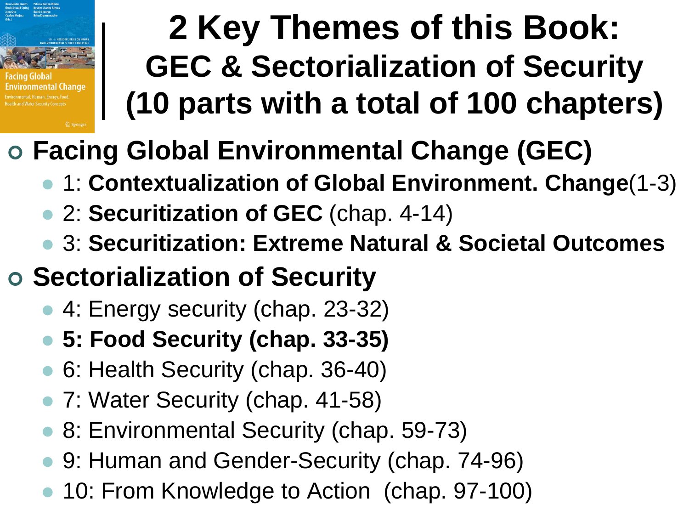

## **2 Key Themes of this Book: GEC & Sectorialization of Security(10 parts with a total of 100 chapters)**

# **Facing Global Environmental Change (GEC)**

- 1: **Contextualization of Global Environment. Change**(1-3)
- 2: **Securitization of GEC** (chap. 4-14)
- $\bullet$ 3: **Securitization: Extreme Natural & Societal Outcomes**
- **Sectorialization of Security**
	- 4: Energy security (chap. 23-32)
	- **5: Food Security (chap. 33-35)**
	- $\bullet$ 6: Health Security (chap. 36-40)
	- 7: Water Security (chap. 41-58)
	- $\bullet$ 8: Environmental Security (chap. 59-73)
	- $\bullet$ 9: Human and Gender-Security (chap. 74-96)
	- $\bullet$ 10: From Knowledge to Action (chap. 97-100)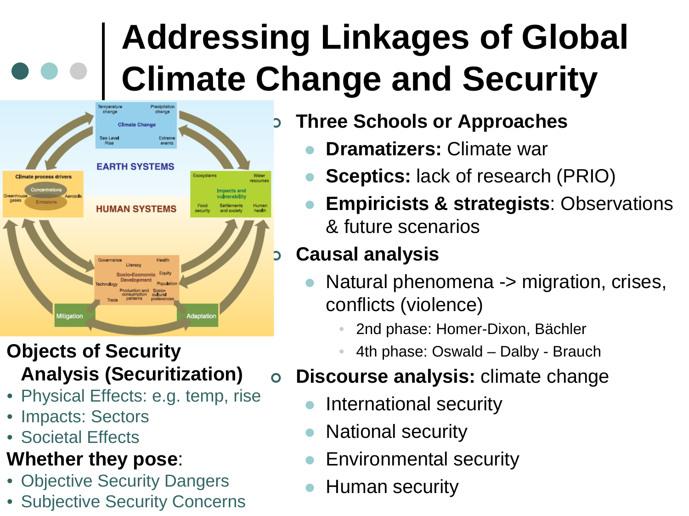# **Addressing Linkages of Global Climate Change and Security**



### **Objects of Security Analysis (Securitization)**

- Physical Effects: e.g. temp, rise
- Impacts: Sectors
- Societal Effects

### **Whether they pose**:

- Objective Security Dangers
- Subjective Security Concerns

### **Three Schools or Approaches**

- $\bullet$ **Dramatizers:** Climate war
- $\bullet$ **Sceptics:** lack of research (PRIO)
- $\bullet$  **Empiricists & strategists**: Observations & future scenarios

### **Causal analysis**

- $\bullet$  Natural phenomena -> migration, crises, conflicts (violence)
	- •2nd phase: Homer-Dixon, Bächler
	- •4th phase: Oswald – Dalby - Brauch

#### $\overline{O}$ **Discourse analysis:** climate change

- $\bullet$ International security
- $\bullet$ National security
- $\bullet$ Environmental security
- $\bullet$ Human security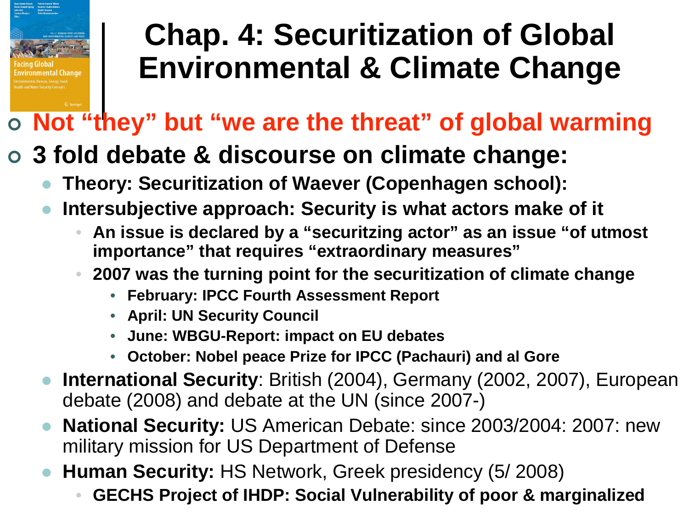

## **Chap. 4: Securitization of Global Environmental & Climate Change**

## **Not "they" but "we are the threat" of global warming**

## **3 fold debate & discourse on climate change:**

- $\bullet$ **Theory: Securitization of Waever (Copenhagen school):**
- $\bullet$  **Intersubjective approach: Security is what actors make of it**
	- • **An issue is declared by a "securitzing actor" as an issue "of utmost importance" that requires "extraordinary measures"**
	- **2007 was the turning point for the securitization of climate change**•
		- **February: IPCC Fourth Assessment Report**
		- **April: UN Security Council**
		- **June: WBGU-Report: impact on EU debates**
		- **October: Nobel peace Prize for IPCC (Pachauri) and al Gore**
- **International Security**: British (2004), Germany (2002, 2007), European  $\bullet$ debate (2008) and debate at the UN (since 2007-)
- $\bullet$  **National Security:** US American Debate: since 2003/2004: 2007: new military mission for US Department of Defense
- **Human Security:** HS Network, Greek presidency (5/ 2008)  $\bullet$ 
	- •**GECHS Project of IHDP: Social Vulnerability of poor & marginalized**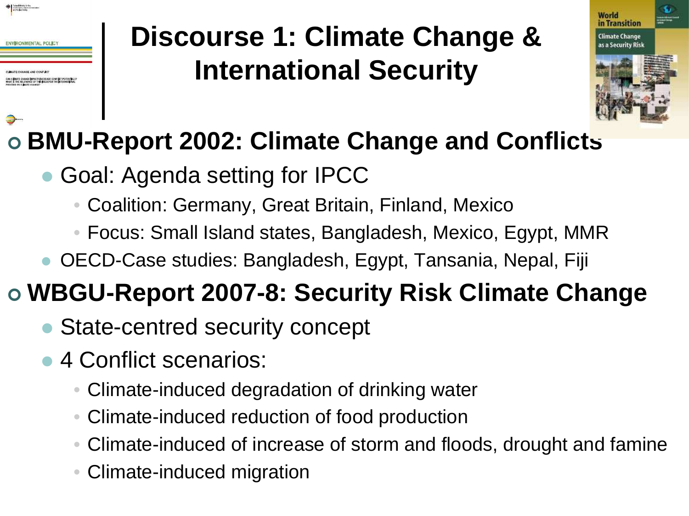

### **Discourse 1: Climate Change & International Security**



## **BMU-Report 2002: Climate Change and Conflicts**

- Goal: Agenda setting for IPCC
	- Coalition: Germany, Great Britain, Finland, Mexico•
	- Focus: Small Island states, Bangladesh, Mexico, Egypt, MMR
- OECD-Case studies: Bangladesh, Egypt, Tansania, Nepal, Fiji

## **WBGU-Report 2007-8: Security Risk Climate Change**

- State-centred security concept
- 4 Conflict scenarios:
	- Climate-induced degradation of drinking water
	- •Climate-induced reduction of food production
	- •Climate-induced of increase of storm and floods, drought and famine
	- •Climate-induced migration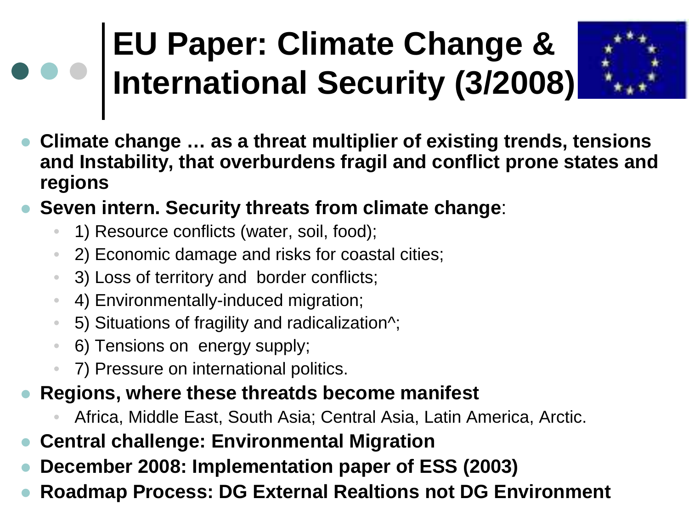# **EU Paper: Climate Change & International Security (3/2008)**



- $\bullet$  **Climate change … as a threat multiplier of existing trends, tensions and Instability, that overburdens fragil and conflict prone states and regions**
- $\bullet$  **Seven intern. Security threats from climate change**:
	- •1) Resource conflicts (water, soil, food);
	- •2) Economic damage and risks for coastal cities;
	- •3) Loss of territory and border conflicts;
	- •4) Environmentally-induced migration;
	- •5) Situations of fragility and radicalization^;
	- $\bullet$ 6) Tensions on energy supply;
	- •7) Pressure on international politics.
- $\bullet$  **Regions, where these threatds become manifest**
	- •Africa, Middle East, South Asia; Central Asia, Latin America, Arctic.
- $\bullet$ **Central challenge: Environmental Migration**
- **December 2008: Implementation paper of ESS (2003)**  $\bullet$
- $\bullet$ **Roadmap Process: DG External Realtions not DG Environment**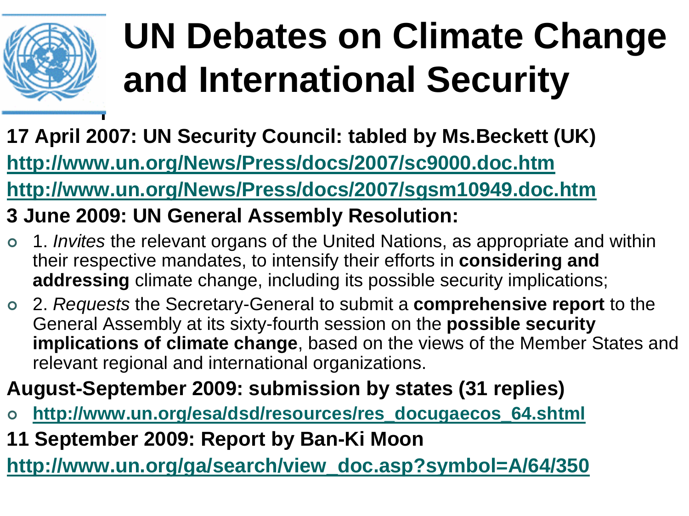

# **UN Debates on Climate Change and International Security**

**17 April 2007: UN Security Council: tabled by Ms.Beckett (UK)http://www.un.org/News/Press/docs/2007/sc9000.doc.htm**

**http://www.un.org/News/Press/docs/2007/sgsm10949.doc.htm**

**3 June 2009: UN General Assembly Resolution:**

- O 1. *Invites* the relevant organs of the United Nations, as appropriate and within their respective mandates, to intensify their efforts in **considering and addressing** climate change, including its possible security implications;
- 2. Requests the Secretary-General to submit <sup>a</sup>**comprehensive report** to the General Assembly at its sixty-fourth session on the **possible security implications of climate change**, based on the views of the Member States and relevant regional and international organizations.

### **August-September 2009: submission by states (31 replies)**

- O **http://www.un.org/esa/dsd/resources/res\_docugaecos\_64.shtml**
- **11 September 2009: Report by Ban-Ki Moon**

**http://www.un.org/ga/search/view\_doc.asp?symbol=A/64/350**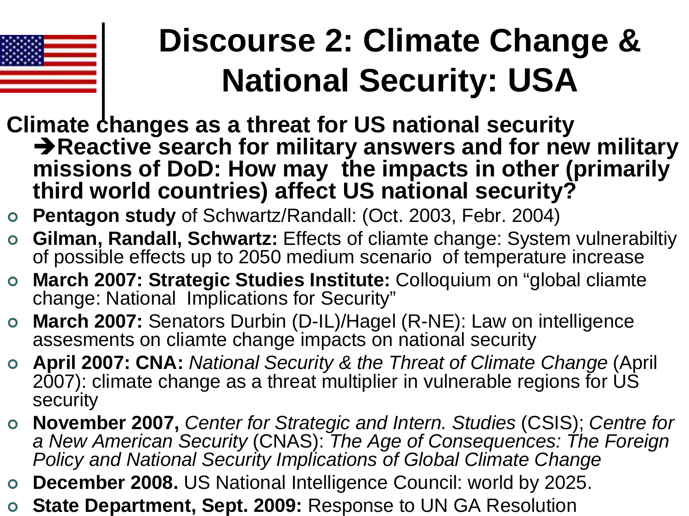

# **Discourse 2: Climate Change & National Security: USA**

- **Climate changes as a threat for US national security Reactive search for military answers and for new military missions of DoD: How may the impacts in other (primarily third world countries) affect US national security?**
- **Pentagon study** of Schwartz/Randall: (Oct. 2003, Febr. 2004)
- $\bullet$  **Gilman, Randall, Schwartz:** Effects of cliamte change: System vulnerabiltiy of possible effects up to 2050 medium scenario of temperature increase
- **March 2007: Strategic Studies Institute:** Colloquium on "global cliamte change: National Implications for Security"
- **March 2007:** Senators Durbin (D-IL)/Hagel (R-NE): Law on intelligence assesments on cliamte change impacts on national security
- **April 2007: CNA:** National Security & the Threat of Climate Change (April 2007): climate change as a threat multiplier in vulnerable regions for US security
- **November 2007, Center for Strategic and Intern. Studies (CSIS); Centre for Canadian Control of Consequences: The Fereign** a New American Security (CNAS): The Age of Consequences: The Foreign<br>Deliau and National Security Impliestions of Clabel Climate Change Policy and National Security Implications of Global Climate Change
- **December 2008.** US National Intelligence Council: world by 2025.
- **State Department, Sept. 2009:** Response to UN GA Resolution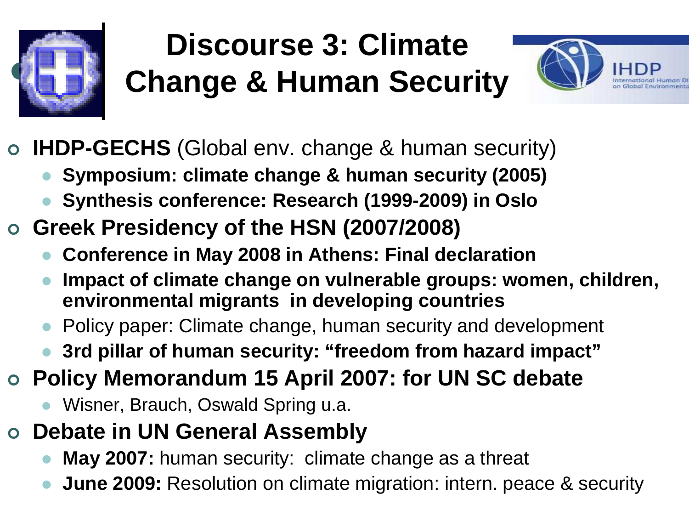

## **Discourse 3: ClimateChange & Human Security**



- $\mathbf O$  **IHDP-GECHS** (Global env. change & human security)
	- $\bullet$ **Symposium: climate change & human security (2005)**
	- $\bullet$ **Synthesis conference: Research (1999-2009) in Oslo**
- **Greek Presidency of the HSN (2007/2008)**
	- $\bullet$ **Conference in May 2008 in Athens: Final declaration**
	- **Impact of climate change on vulnerable groups: women, children,**   $\bullet$ **environmental migrants in developing countries**
	- Policy paper: Climate change, human security and development  $\bullet$
	- $\bullet$ **3rd pillar of human security: "freedom from hazard impact"**
- **Policy Memorandum 15 April 2007: for UN SC debate**
	- $\bullet$ Wisner, Brauch, Oswald Spring u.a.
- $\mathbf O$  **Debate in UN General Assembly** 
	- $\bullet$ **May 2007:** human security: climate change as a threat
	- $\bullet$ **June 2009:** Resolution on climate migration: intern. peace & security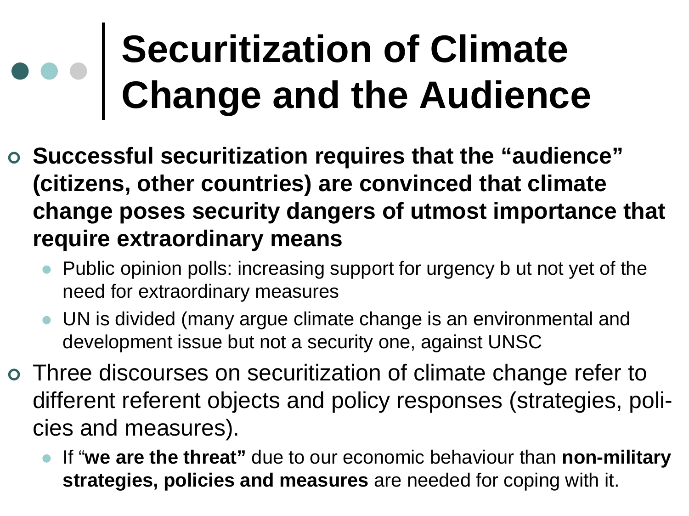# **Securitization of ClimateChange and the Audience**

- **Successful securitization requires that the "audience" (citizens, other countries) are convinced that climate change poses security dangers of utmost importance that require extraordinary means**
	- Public opinion polls: increasing support for urgency b ut not yet of the  $\bullet$ need for extraordinary measures
	- UN is divided (many argue climate change is an environmental and development issue but not a security one, against UNSC
- o Three discourses on securitization of climate change refer to different referent objects and policy responses (strategies, policies and measures).
	- $\bullet$  If "**we are the threat"** due to our economic behaviour than **non-military strategies, policies and measures** are needed for coping with it.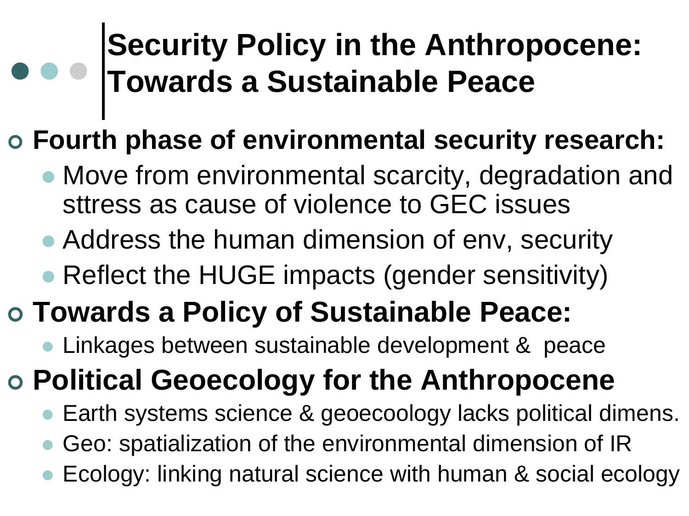## **Security Policy in the Anthropocene:Towards a Sustainable Peace**

# **Fourth phase of environmental security research:**

- Move from environmental scarcity, degradation and sttress as cause of violence to GEC issues
- Address the human dimension of env, security
- Reflect the HUGE impacts (gender sensitivity)

# **Towards a Policy of Sustainable Peace:**

- Linkages between sustainable development & peace

# **Political Geoecology for the Anthropocene**

- $\bullet$ Earth systems science & geoecoology lacks political dimens.
- $\bullet$ Geo: spatialization of the environmental dimension of IR
- $\bullet$  Ecology: linking natural science with human & social ecology  $\bullet$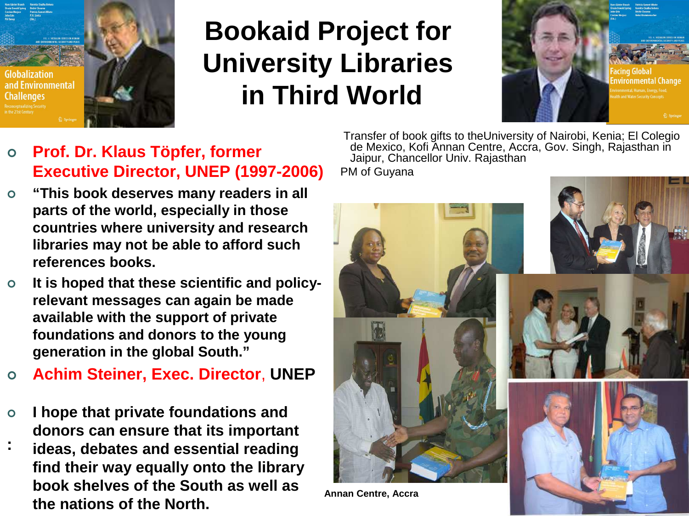

### **Bookaid Project for University Librariesin Third World**



- $\bullet$  **Prof. Dr. Klaus Töpfer, former Executive Director, UNEP (1997-2006)**
- $\bullet$  **"This book deserves many readers in all parts of the world, especially in those countries where university and research libraries may not be able to afford such references books.**
- $\bullet$  **It is hoped that these scientific and policyrelevant messages can again be madeavailable with the support of private foundations and donors to the younggeneration in the global South."**
- $\Omega$ **Achim Steiner, Exec. Director**, **UNEP**
- $\bullet$  **I hope that private foundations and donors can ensure that its important**
- **: ideas, debates and essential reading find their way equally onto the library book shelves of the South as well as the nations of the North.**

Transfer of book gifts to theUniversity of Nairobi, Kenia; El Colegiode Mexico, Kofi Annan Centre, Accra, Gov. Singh, Rajasthan in<br>Jaipur, Chancellor Univ. Rajasthan PM of Guyana

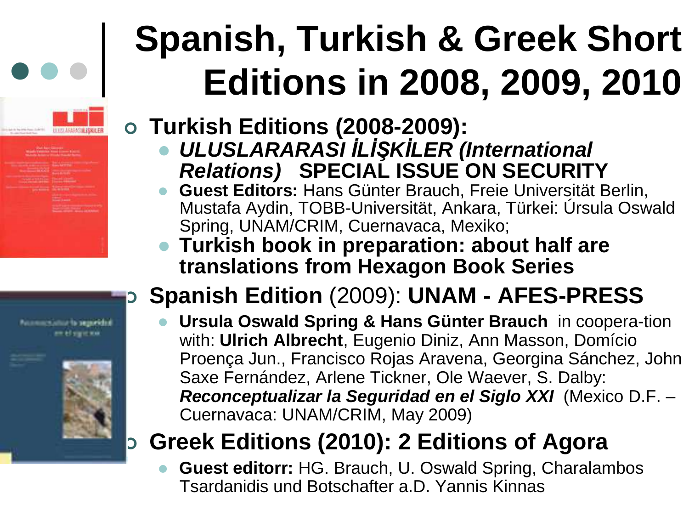# **Spanish, Turkish & Greek Short Editions in 2008, 2009, 2010**

## **Turkish Editions (2008-2009):**

- $\bullet$ **DEUSLARARASI ILIŞKILER (International Relations) SPECIAL ISSUE ON SECURITY**
- Guest Editors: Hans Günter Brauch, Freie Universität Berlin,  $\bullet$  **Guest Editors:** Hans Günter Brauch, Freie Universität Berlin, Mustafa Aydin, TOBB-Universität, Ankara, Türkei: Úrsula Oswald Spring, UNAM/CRIM, Cuernavaca, Mexiko;
- **Turkish book in preparation: about half are translations from Hexagon Book Series**

#### **Spanish Edition** (2009): **UNAM - AFES-PRESS**D

 **Ursula Oswald Spring & Hans Günter Brauch** in coopera-tion  $\bullet$ with: **Ulrich Albrecht**, Eugenio Diniz, Ann Masson, Domício Proença Jun., Francisco Rojas Aravena, Georgina Sánchez, JohnSaxe Fernández, Arlene Tickner, Ole Waever, S. Dalby: **Reconceptualizar la Seguridad en el Siglo XXI** (Mexico D.F. –Cuernavaca: UNAM/CRIM, May 2009)

#### D **Greek Editions (2010): 2 Editions of Agora**

 $\bullet$  **Guest editorr:** HG. Brauch, U. Oswald Spring, Charalambos Tsardanidis und Botschafter a.D. Yannis Kinnas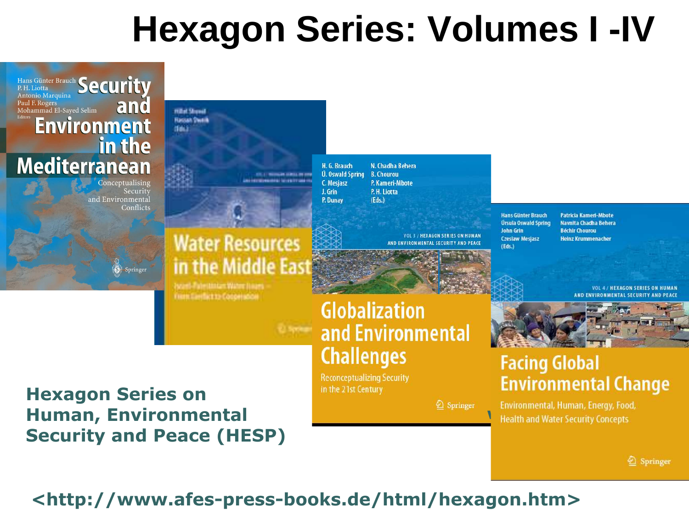# **Hexagon Series: Volumes I -IV**



2 Springer Health and Water Security Concepts

2 Springer

#### Hexagon Series on Human, EnvironmentalSecurity and Peace (HESP)

<http://www.afes-press-books.de/html/hexagon.htm>